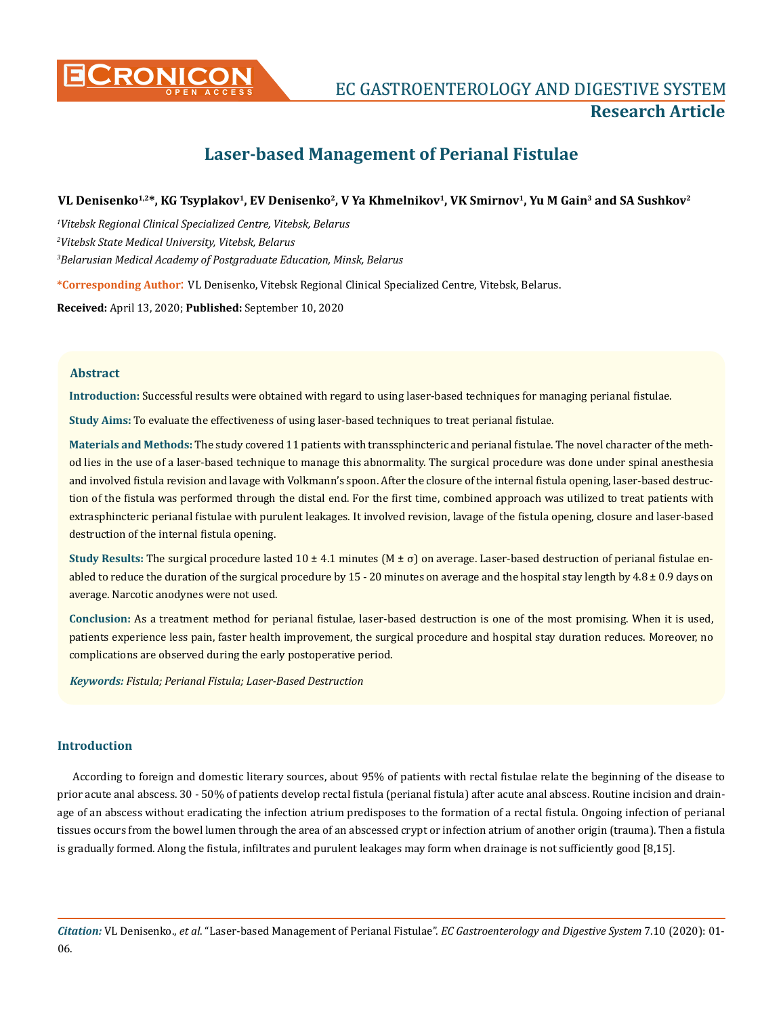

**CRONICON EC GASTROENTEROLOGY AND DIGESTIVE SYSTEM Research Article**

# **Laser-based Management of Perianal Fistulae**

# **VL Denisenko1,2\*, KG Tsyplakov1, EV Denisenko2, V Ya Khmelnikov1, VK Smirnov1, Yu M Gain3 and SA Sushkov2**

*1 Vitebsk Regional Clinical Specialized Centre, Vitebsk, Belarus*

*2 Vitebsk State Medical University, Vitebsk, Belarus*

*3 Belarusian Medical Academy of Postgraduate Education, Minsk, Belarus*

**\*Corresponding Author**: VL Denisenko, Vitebsk Regional Clinical Specialized Centre, Vitebsk, Belarus.

**Received:** April 13, 2020; **Published:** September 10, 2020

## **Abstract**

**Introduction:** Successful results were obtained with regard to using laser-based techniques for managing perianal fistulae.

**Study Aims:** To evaluate the effectiveness of using laser-based techniques to treat perianal fistulae.

**Materials and Methods:** The study covered 11 patients with transsphincteric and perianal fistulae. The novel character of the method lies in the use of a laser-based technique to manage this abnormality. The surgical procedure was done under spinal anesthesia and involved fistula revision and lavage with Volkmann's spoon. After the closure of the internal fistula opening, laser-based destruction of the fistula was performed through the distal end. For the first time, combined approach was utilized to treat patients with extrasphincteric perianal fistulae with purulent leakages. It involved revision, lavage of the fistula opening, closure and laser-based destruction of the internal fistula opening.

**Study Results:** The surgical procedure lasted 10 ± 4.1 minutes (M ± σ) on average. Laser-based destruction of perianal fistulae enabled to reduce the duration of the surgical procedure by  $15 - 20$  minutes on average and the hospital stay length by  $4.8 \pm 0.9$  days on average. Narcotic anodynes were not used.

**Conclusion:** As a treatment method for perianal fistulae, laser-based destruction is one of the most promising. When it is used, patients experience less pain, faster health improvement, the surgical procedure and hospital stay duration reduces. Moreover, no complications are observed during the early postoperative period.

*Keywords: Fistula; Perianal Fistula; Laser-Based Destruction*

## **Introduction**

According to foreign and domestic literary sources, about 95% of patients with rectal fistulae relate the beginning of the disease to prior acute anal abscess. 30 - 50% of patients develop rectal fistula (perianal fistula) after acute anal abscess. Routine incision and drainage of an abscess without eradicating the infection atrium predisposes to the formation of a rectal fistula. Ongoing infection of perianal tissues occurs from the bowel lumen through the area of an abscessed crypt or infection atrium of another origin (trauma). Then a fistula is gradually formed. Along the fistula, infiltrates and purulent leakages may form when drainage is not sufficiently good [8,15].

*Citation:* VL Denisenko., *et al*. "Laser-based Management of Perianal Fistulae". *EC Gastroenterology and Digestive System* 7.10 (2020): 01- 06.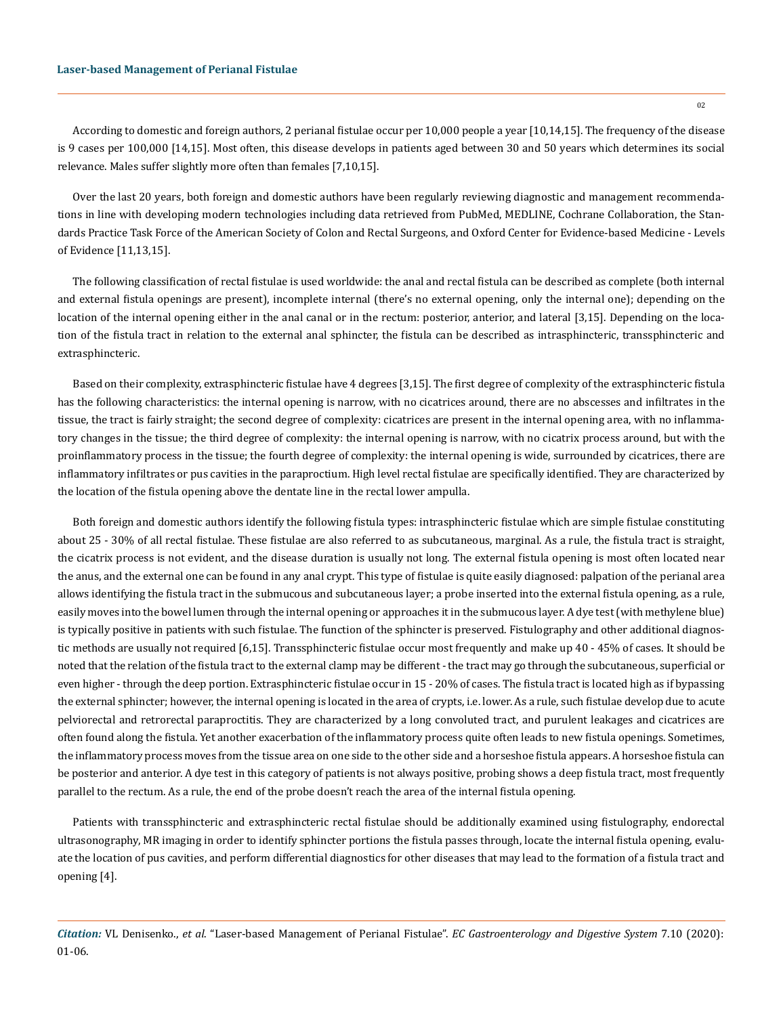#### **Laser-based Management of Perianal Fistulae**

According to domestic and foreign authors, 2 perianal fistulae occur per 10,000 people a year [10,14,15]. The frequency of the disease is 9 cases per 100,000 [14,15]. Most often, this disease develops in patients aged between 30 and 50 years which determines its social relevance. Males suffer slightly more often than females [7,10,15].

Over the last 20 years, both foreign and domestic authors have been regularly reviewing diagnostic and management recommendations in line with developing modern technologies including data retrieved from PubMed, MEDLINE, Cochrane Collaboration, the Standards Practice Task Force of the American Society of Colon and Rectal Surgeons, and Oxford Center for Evidence-based Medicine - Levels of Evidence [11,13,15].

The following classification of rectal fistulae is used worldwide: the anal and rectal fistula can be described as complete (both internal and external fistula openings are present), incomplete internal (there's no external opening, only the internal one); depending on the location of the internal opening either in the anal canal or in the rectum: posterior, anterior, and lateral [3,15]. Depending on the location of the fistula tract in relation to the external anal sphincter, the fistula can be described as intrasphincteric, transsphincteric and extrasphincteric.

Based on their complexity, extrasphincteric fistulae have 4 degrees [3,15]. The first degree of complexity of the extrasphincteric fistula has the following characteristics: the internal opening is narrow, with no cicatrices around, there are no abscesses and infiltrates in the tissue, the tract is fairly straight; the second degree of complexity: cicatrices are present in the internal opening area, with no inflammatory changes in the tissue; the third degree of complexity: the internal opening is narrow, with no cicatrix process around, but with the proinflammatory process in the tissue; the fourth degree of complexity: the internal opening is wide, surrounded by cicatrices, there are inflammatory infiltrates or pus cavities in the paraproctium. High level rectal fistulae are specifically identified. They are characterized by the location of the fistula opening above the dentate line in the rectal lower ampulla.

Both foreign and domestic authors identify the following fistula types: intrasphincteric fistulae which are simple fistulae constituting about 25 - 30% of all rectal fistulae. These fistulae are also referred to as subcutaneous, marginal. As a rule, the fistula tract is straight, the cicatrix process is not evident, and the disease duration is usually not long. The external fistula opening is most often located near the anus, and the external one can be found in any anal crypt. This type of fistulae is quite easily diagnosed: palpation of the perianal area allows identifying the fistula tract in the submucous and subcutaneous layer; a probe inserted into the external fistula opening, as a rule, easily moves into the bowel lumen through the internal opening or approaches it in the submucous layer. A dye test (with methylene blue) is typically positive in patients with such fistulae. The function of the sphincter is preserved. Fistulography and other additional diagnostic methods are usually not required [6,15]. Transsphincteric fistulae occur most frequently and make up 40 - 45% of cases. It should be noted that the relation of the fistula tract to the external clamp may be different - the tract may go through the subcutaneous, superficial or even higher - through the deep portion. Extrasphincteric fistulae occur in 15 - 20% of cases. The fistula tract is located high as if bypassing the external sphincter; however, the internal opening is located in the area of crypts, i.e. lower. As a rule, such fistulae develop due to acute pelviorectal and retrorectal paraproctitis. They are characterized by a long convoluted tract, and purulent leakages and cicatrices are often found along the fistula. Yet another exacerbation of the inflammatory process quite often leads to new fistula openings. Sometimes, the inflammatory process moves from the tissue area on one side to the other side and a horseshoe fistula appears. A horseshoe fistula can be posterior and anterior. A dye test in this category of patients is not always positive, probing shows a deep fistula tract, most frequently parallel to the rectum. As a rule, the end of the probe doesn't reach the area of the internal fistula opening.

Patients with transsphincteric and extrasphincteric rectal fistulae should be additionally examined using fistulography, endorectal ultrasonography, MR imaging in order to identify sphincter portions the fistula passes through, locate the internal fistula opening, evaluate the location of pus cavities, and perform differential diagnostics for other diseases that may lead to the formation of a fistula tract and opening [4].

*Citation:* VL Denisenko., *et al*. "Laser-based Management of Perianal Fistulae". *EC Gastroenterology and Digestive System* 7.10 (2020): 01-06.

02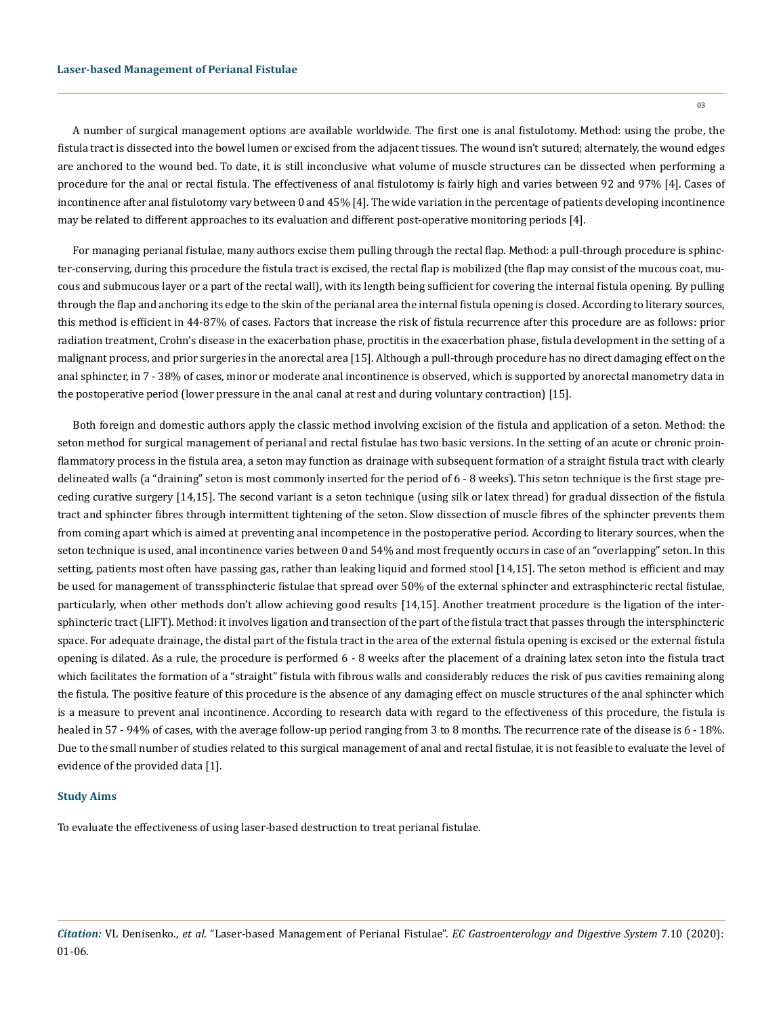A number of surgical management options are available worldwide. The first one is anal fistulotomy. Method: using the probe, the fistula tract is dissected into the bowel lumen or excised from the adjacent tissues. The wound isn't sutured; alternately, the wound edges are anchored to the wound bed. To date, it is still inconclusive what volume of muscle structures can be dissected when performing a procedure for the anal or rectal fistula. The effectiveness of anal fistulotomy is fairly high and varies between 92 and 97% [4]. Cases of incontinence after anal fistulotomy vary between 0 and 45% [4]. The wide variation in the percentage of patients developing incontinence may be related to different approaches to its evaluation and different post-operative monitoring periods [4].

For managing perianal fistulae, many authors excise them pulling through the rectal flap. Method: a pull-through procedure is sphincter-conserving, during this procedure the fistula tract is excised, the rectal flap is mobilized (the flap may consist of the mucous coat, mucous and submucous layer or a part of the rectal wall), with its length being sufficient for covering the internal fistula opening. By pulling through the flap and anchoring its edge to the skin of the perianal area the internal fistula opening is closed. According to literary sources, this method is efficient in 44-87% of cases. Factors that increase the risk of fistula recurrence after this procedure are as follows: prior radiation treatment, Crohn's disease in the exacerbation phase, proctitis in the exacerbation phase, fistula development in the setting of a malignant process, and prior surgeries in the anorectal area [15]. Although a pull-through procedure has no direct damaging effect on the anal sphincter, in 7 - 38% of cases, minor or moderate anal incontinence is observed, which is supported by anorectal manometry data in the postoperative period (lower pressure in the anal canal at rest and during voluntary contraction) [15].

Both foreign and domestic authors apply the classic method involving excision of the fistula and application of a seton. Method: the seton method for surgical management of perianal and rectal fistulae has two basic versions. In the setting of an acute or chronic proinflammatory process in the fistula area, a seton may function as drainage with subsequent formation of a straight fistula tract with clearly delineated walls (a "draining" seton is most commonly inserted for the period of 6 - 8 weeks). This seton technique is the first stage preceding curative surgery [14,15]. The second variant is a seton technique (using silk or latex thread) for gradual dissection of the fistula tract and sphincter fibres through intermittent tightening of the seton. Slow dissection of muscle fibres of the sphincter prevents them from coming apart which is aimed at preventing anal incompetence in the postoperative period. According to literary sources, when the seton technique is used, anal incontinence varies between 0 and 54% and most frequently occurs in case of an "overlapping" seton. In this setting, patients most often have passing gas, rather than leaking liquid and formed stool [14,15]. The seton method is efficient and may be used for management of transsphincteric fistulae that spread over 50% of the external sphincter and extrasphincteric rectal fistulae, particularly, when other methods don't allow achieving good results [14,15]. Another treatment procedure is the ligation of the intersphincteric tract (LIFT). Method: it involves ligation and transection of the part of the fistula tract that passes through the intersphincteric space. For adequate drainage, the distal part of the fistula tract in the area of the external fistula opening is excised or the external fistula opening is dilated. As a rule, the procedure is performed 6 - 8 weeks after the placement of a draining latex seton into the fistula tract which facilitates the formation of a "straight" fistula with fibrous walls and considerably reduces the risk of pus cavities remaining along the fistula. The positive feature of this procedure is the absence of any damaging effect on muscle structures of the anal sphincter which is a measure to prevent anal incontinence. According to research data with regard to the effectiveness of this procedure, the fistula is healed in 57 - 94% of cases, with the average follow-up period ranging from 3 to 8 months. The recurrence rate of the disease is 6 - 18%. Due to the small number of studies related to this surgical management of anal and rectal fistulae, it is not feasible to evaluate the level of evidence of the provided data [1].

#### **Study Aims**

To evaluate the effectiveness of using laser-based destruction to treat perianal fistulae.

03

*Citation:* VL Denisenko., *et al*. "Laser-based Management of Perianal Fistulae". *EC Gastroenterology and Digestive System* 7.10 (2020): 01-06.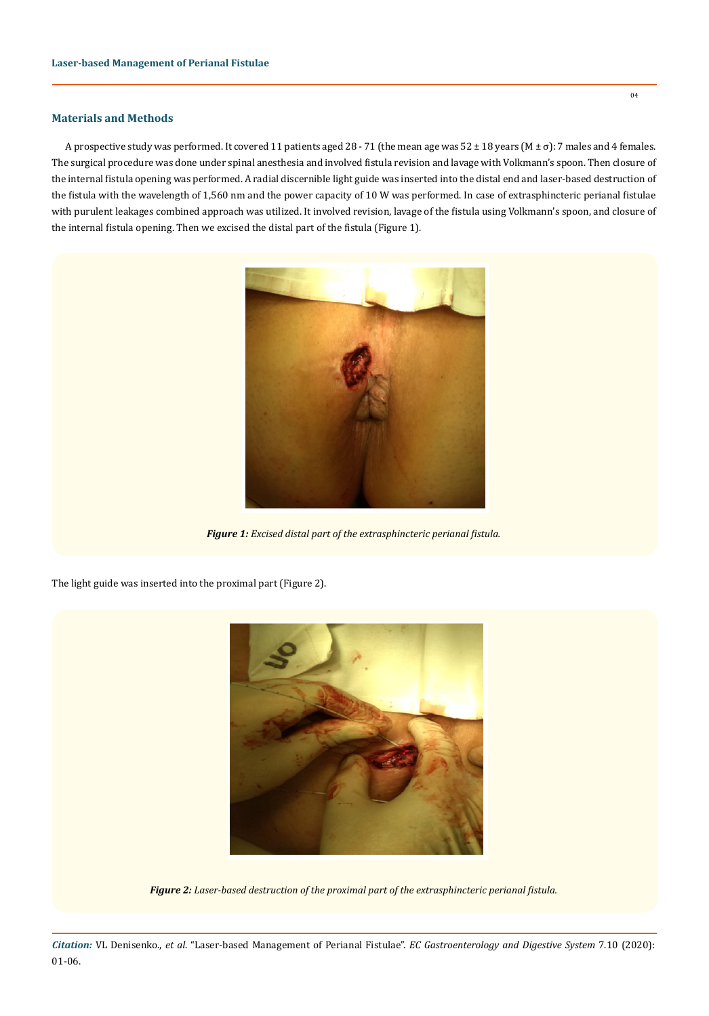# **Materials and Methods**

A prospective study was performed. It covered 11 patients aged 28 - 71 (the mean age was 52 ± 18 years (M ± σ): 7 males and 4 females. The surgical procedure was done under spinal anesthesia and involved fistula revision and lavage with Volkmann's spoon. Then closure of the internal fistula opening was performed. A radial discernible light guide was inserted into the distal end and laser-based destruction of the fistula with the wavelength of 1,560 nm and the power capacity of 10 W was performed. In case of extrasphincteric perianal fistulae with purulent leakages combined approach was utilized. It involved revision, lavage of the fistula using Volkmann's spoon, and closure of the internal fistula opening. Then we excised the distal part of the fistula (Figure 1).



*Figure 1: Excised distal part of the extrasphincteric perianal fistula.*

The light guide was inserted into the proximal part (Figure 2).



*Figure 2: Laser-based destruction of the proximal part of the extrasphincteric perianal fistula.*

*Citation:* VL Denisenko., *et al*. "Laser-based Management of Perianal Fistulae". *EC Gastroenterology and Digestive System* 7.10 (2020): 01-06.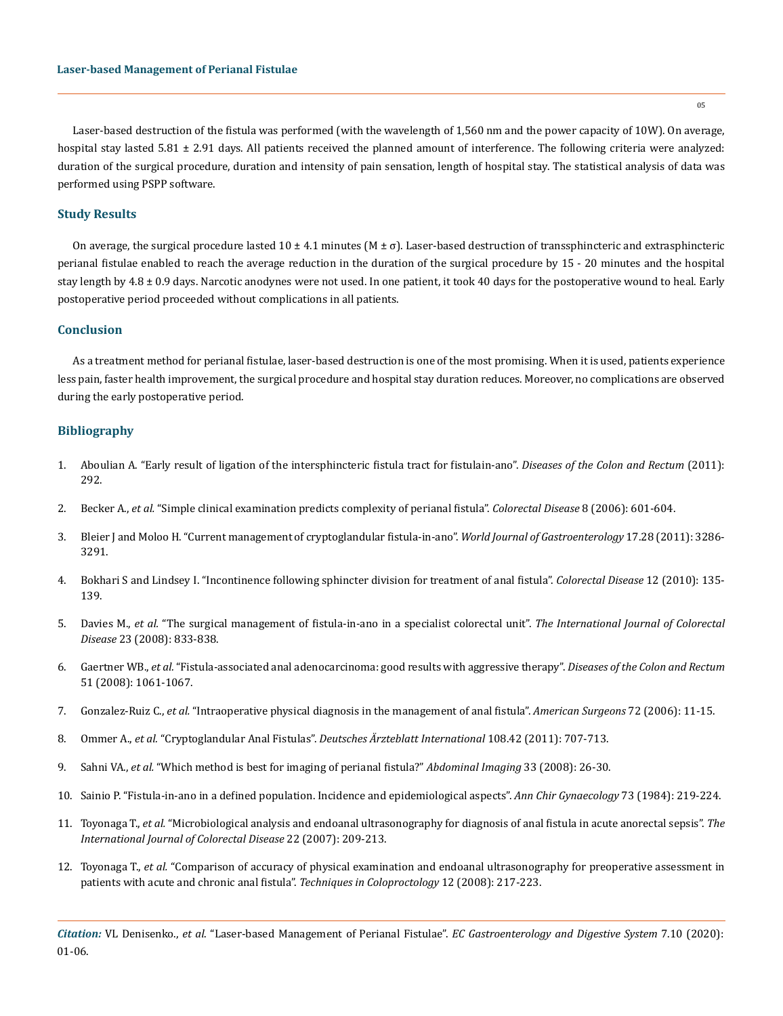Laser-based destruction of the fistula was performed (with the wavelength of 1,560 nm and the power capacity of 10W). On average, hospital stay lasted  $5.81 \pm 2.91$  days. All patients received the planned amount of interference. The following criteria were analyzed: duration of the surgical procedure, duration and intensity of pain sensation, length of hospital stay. The statistical analysis of data was performed using PSPP software.

## **Study Results**

On average, the surgical procedure lasted  $10 \pm 4.1$  minutes  $(M \pm \sigma)$ . Laser-based destruction of transsphincteric and extrasphincteric perianal fistulae enabled to reach the average reduction in the duration of the surgical procedure by 15 - 20 minutes and the hospital stay length by  $4.8 \pm 0.9$  days. Narcotic anodynes were not used. In one patient, it took 40 days for the postoperative wound to heal. Early postoperative period proceeded without complications in all patients.

## **Conclusion**

As a treatment method for perianal fistulae, laser-based destruction is one of the most promising. When it is used, patients experience less pain, faster health improvement, the surgical procedure and hospital stay duration reduces. Moreover, no complications are observed during the early postoperative period.

## **Bibliography**

- 1. [Aboulian A. "Early result of ligation of the intersphincteric fistula tract for fistulain-ano".](https://pubmed.ncbi.nlm.nih.gov/21304298/) *Diseases of the Colon and Rectum* (2011): [292.](https://pubmed.ncbi.nlm.nih.gov/21304298/)
- 2. Becker A., *et al.* ["Simple clinical examination predicts complexity of perianal fistula".](https://europepmc.org/article/med/16919114) *Colorectal Disease* 8 (2006): 601-604.
- 3. [Bleier J and Moloo H. "Current management of cryptoglandular fistula-in-ano".](https://www.ncbi.nlm.nih.gov/pmc/articles/PMC3160531/) *World Journal of Gastroenterology* 17.28 (2011): 3286- [3291.](https://www.ncbi.nlm.nih.gov/pmc/articles/PMC3160531/)
- 4. [Bokhari S and Lindsey I. "Incontinence following sphincter division for treatment of anal fistula".](https://pubmed.ncbi.nlm.nih.gov/19486093/) *Colorectal Disease* 12 (2010): 135- [139.](https://pubmed.ncbi.nlm.nih.gov/19486093/)
- 5. Davies M., *et al.* ["The surgical management of fistula-in-ano in a specialist colorectal unit".](https://pubmed.ncbi.nlm.nih.gov/18427814/) *The International Journal of Colorectal Disease* [23 \(2008\): 833-838.](https://pubmed.ncbi.nlm.nih.gov/18427814/)
- 6. Gaertner WB., *et al.* ["Fistula-associated anal adenocarcinoma: good results with aggressive therapy".](https://pubmed.ncbi.nlm.nih.gov/18418652/) *Diseases of the Colon and Rectum*  [51 \(2008\): 1061-1067.](https://pubmed.ncbi.nlm.nih.gov/18418652/)
- 7. Gonzalez-Ruiz C., *et al.* ["Intraoperative physical diagnosis in the management of anal fistula".](https://pubmed.ncbi.nlm.nih.gov/16494174/) *American Surgeons* 72 (2006): 11-15.
- 8. Ommer A., *et al.* "Cryptoglandular Anal Fistulas". *[Deutsches Ärzteblatt International](https://www.researchgate.net/publication/51826318_Cryptoglandular_Anal_Fistulas)* 108.42 (2011): 707-713.
- 9. Sahni VA., *et al.* ["Which method is best for imaging of perianal fistula?"](https://www.researchgate.net/publication/6034449_Which_method_is_best_for_imaging_of_perianal_fistula) *Abdominal Imaging* 33 (2008): 26-30.
- 10. [Sainio P. "Fistula-in-ano in a defined population. Incidence and epidemiological aspects".](https://europepmc.org/article/med/6508203) *Ann Chir Gynaecology* 73 (1984): 219-224.
- 11. Toyonaga T., *et al.* ["Microbiological analysis and endoanal ultrasonography for diagnosis of anal fistula in acute anorectal sepsis".](https://link.springer.com/article/10.1007/s00384-006-0121-x) *The [International Journal of Colorectal Disease](https://link.springer.com/article/10.1007/s00384-006-0121-x)* 22 (2007): 209-213.
- 12. Toyonaga T., *et al.* ["Comparison of accuracy of physical examination and endoanal ultrasonography for preoperative assessment in](https://pubmed.ncbi.nlm.nih.gov/18679573/)  [patients with acute and chronic anal fistula".](https://pubmed.ncbi.nlm.nih.gov/18679573/) *Techniques in Coloproctology* 12 (2008): 217-223.

*Citation:* VL Denisenko., *et al*. "Laser-based Management of Perianal Fistulae". *EC Gastroenterology and Digestive System* 7.10 (2020): 01-06.